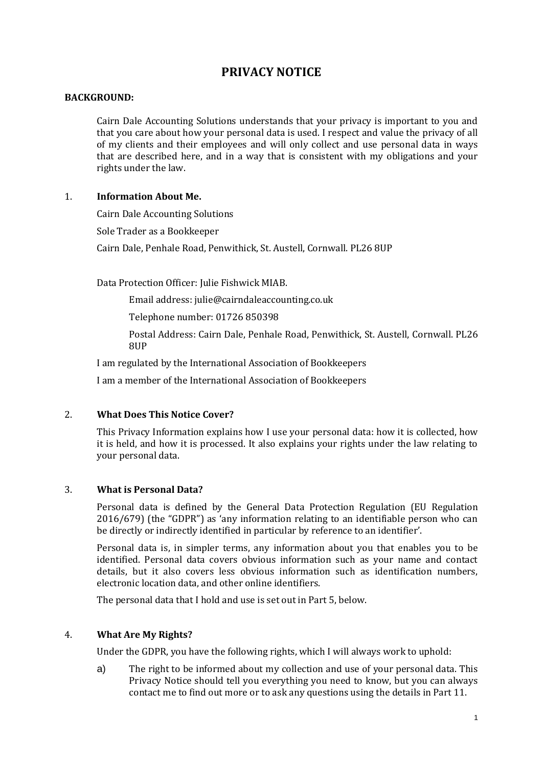# **PRIVACY NOTICE**

#### **BACKGROUND:**

Cairn Dale Accounting Solutions understands that your privacy is important to you and that you care about how your personal data is used. I respect and value the privacy of all of my clients and their employees and will only collect and use personal data in ways that are described here, and in a way that is consistent with my obligations and your rights under the law.

# 1. **Information About Me.**

Cairn Dale Accounting Solutions

Sole Trader as a Bookkeeper

Cairn Dale, Penhale Road, Penwithick, St. Austell, Cornwall. PL26 8UP

Data Protection Officer: Julie Fishwick MIAB.

Email address: julie@cairndaleaccounting.co.uk

Telephone number: 01726 850398

Postal Address: Cairn Dale, Penhale Road, Penwithick, St. Austell, Cornwall. PL26 8UP

I am regulated by the International Association of Bookkeepers

I am a member of the International Association of Bookkeepers

# 2. **What Does This Notice Cover?**

This Privacy Information explains how I use your personal data: how it is collected, how it is held, and how it is processed. It also explains your rights under the law relating to your personal data.

# 3. **What is Personal Data?**

Personal data is defined by the General Data Protection Regulation (EU Regulation 2016/679) (the "GDPR") as 'any information relating to an identifiable person who can be directly or indirectly identified in particular by reference to an identifier'.

Personal data is, in simpler terms, any information about you that enables you to be identified. Personal data covers obvious information such as your name and contact details, but it also covers less obvious information such as identification numbers, electronic location data, and other online identifiers.

The personal data that I hold and use is set out in Part 5, below.

#### 4. **What Are My Rights?**

Under the GDPR, you have the following rights, which I will always work to uphold:

a) The right to be informed about my collection and use of your personal data. This Privacy Notice should tell you everything you need to know, but you can always contact me to find out more or to ask any questions using the details in Part 11.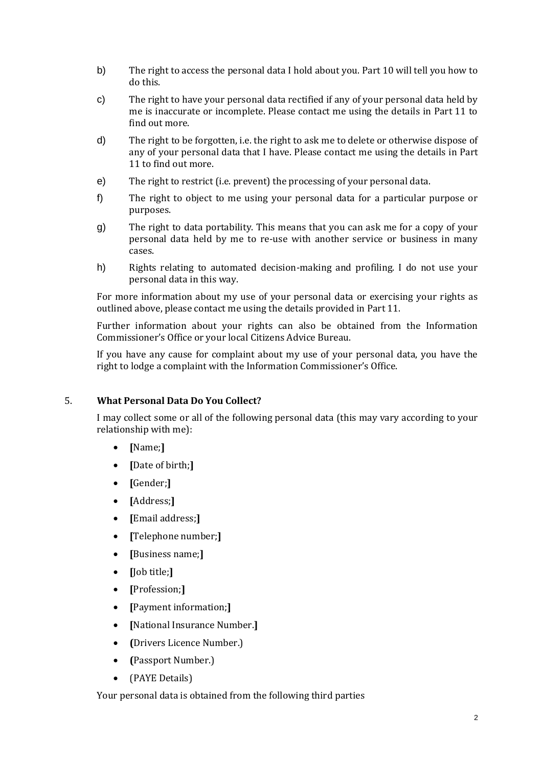- b) The right to access the personal data I hold about you. Part 10 will tell you how to do this.
- c) The right to have your personal data rectified if any of your personal data held by me is inaccurate or incomplete. Please contact me using the details in Part 11 to find out more.
- d) The right to be forgotten, i.e. the right to ask me to delete or otherwise dispose of any of your personal data that I have. Please contact me using the details in Part 11 to find out more.
- e) The right to restrict (i.e. prevent) the processing of your personal data.
- f) The right to object to me using your personal data for a particular purpose or purposes.
- g) The right to data portability. This means that you can ask me for a copy of your personal data held by me to re-use with another service or business in many cases.
- h) Rights relating to automated decision-making and profiling. I do not use your personal data in this way.

For more information about my use of your personal data or exercising your rights as outlined above, please contact me using the details provided in Part 11.

Further information about your rights can also be obtained from the Information Commissioner's Office or your local Citizens Advice Bureau.

If you have any cause for complaint about my use of your personal data, you have the right to lodge a complaint with the Information Commissioner's Office.

# 5. **What Personal Data Do You Collect?**

I may collect some or all of the following personal data (this may vary according to your relationship with me):

- **[**Name;**]**
- **[**Date of birth;**]**
- **[**Gender;**]**
- **[**Address;**]**
- **[**Email address;**]**
- **[**Telephone number;**]**
- **[**Business name;**]**
- **[**Job title;**]**
- **[**Profession;**]**
- **[**Payment information;**]**
- **[**National Insurance Number.**]**
- **(**Drivers Licence Number.)
- **(**Passport Number.)
- (PAYE Details)

Your personal data is obtained from the following third parties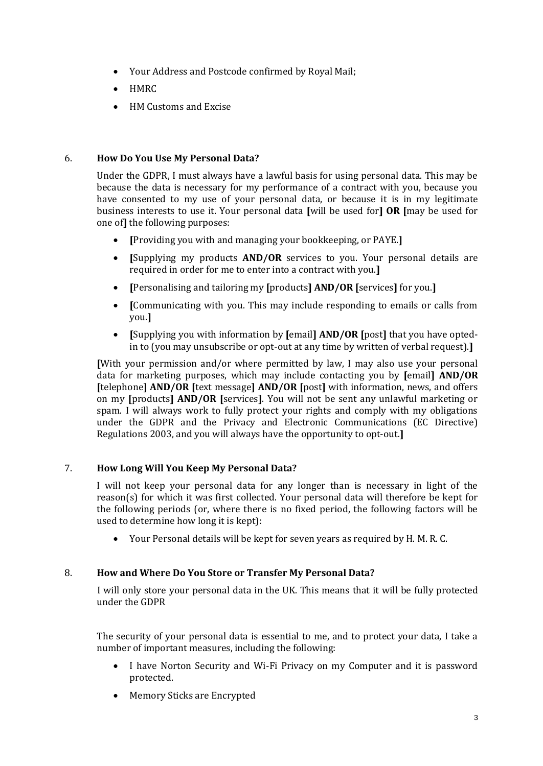- Your Address and Postcode confirmed by Royal Mail;
- HMRC
- HM Customs and Excise

# 6. **How Do You Use My Personal Data?**

Under the GDPR, I must always have a lawful basis for using personal data. This may be because the data is necessary for my performance of a contract with you, because you have consented to my use of your personal data, or because it is in my legitimate business interests to use it. Your personal data **[**will be used for**] OR [**may be used for one of**]** the following purposes:

- **[**Providing you with and managing your bookkeeping, or PAYE.**]**
- **[**Supplying my products **AND/OR** services to you. Your personal details are required in order for me to enter into a contract with you.**]**
- **[**Personalising and tailoring my **[**products**] AND/OR [**services**]** for you.**]**
- **[**Communicating with you. This may include responding to emails or calls from you.**]**
- **[**Supplying you with information by **[**email**] AND/OR [**post**]** that you have optedin to (you may unsubscribe or opt-out at any time by written of verbal request).**]**

**[**With your permission and/or where permitted by law, I may also use your personal data for marketing purposes, which may include contacting you by **[**email**] AND/OR [**telephone**] AND/OR [**text message**] AND/OR [**post**]** with information, news, and offers on my **[**products**] AND/OR [**services**]**. You will not be sent any unlawful marketing or spam. I will always work to fully protect your rights and comply with my obligations under the GDPR and the Privacy and Electronic Communications (EC Directive) Regulations 2003, and you will always have the opportunity to opt-out.**]**

# 7. **How Long Will You Keep My Personal Data?**

I will not keep your personal data for any longer than is necessary in light of the reason(s) for which it was first collected. Your personal data will therefore be kept for the following periods (or, where there is no fixed period, the following factors will be used to determine how long it is kept):

Your Personal details will be kept for seven years as required by H. M. R. C.

# 8. **How and Where Do You Store or Transfer My Personal Data?**

I will only store your personal data in the UK. This means that it will be fully protected under the GDPR

The security of your personal data is essential to me, and to protect your data, I take a number of important measures, including the following:

- I have Norton Security and Wi-Fi Privacy on my Computer and it is password protected.
- Memory Sticks are Encrypted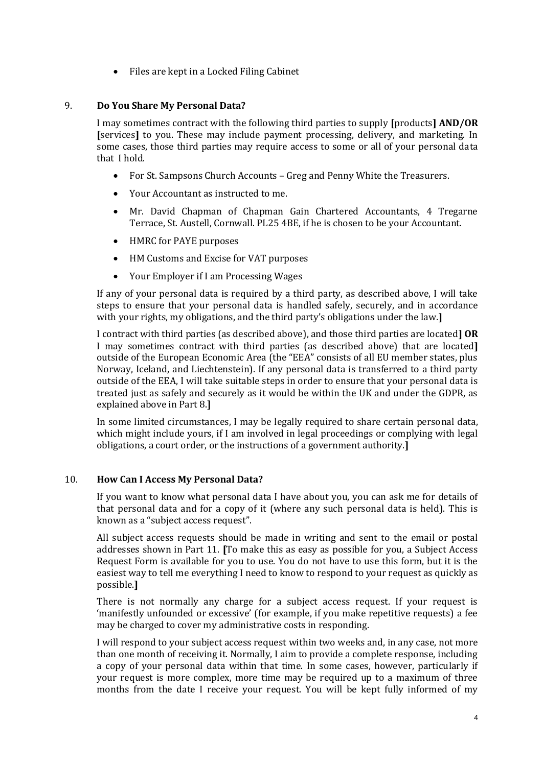Files are kept in a Locked Filing Cabinet

# 9. **Do You Share My Personal Data?**

I may sometimes contract with the following third parties to supply **[**products**] AND/OR [**services**]** to you. These may include payment processing, delivery, and marketing. In some cases, those third parties may require access to some or all of your personal data that I hold.

- For St. Sampsons Church Accounts Greg and Penny White the Treasurers.
- Your Accountant as instructed to me.
- Mr. David Chapman of Chapman Gain Chartered Accountants, 4 Tregarne Terrace, St. Austell, Cornwall. PL25 4BE, if he is chosen to be your Accountant.
- HMRC for PAYE purposes
- HM Customs and Excise for VAT purposes
- Your Employer if I am Processing Wages

If any of your personal data is required by a third party, as described above, I will take steps to ensure that your personal data is handled safely, securely, and in accordance with your rights, my obligations, and the third party's obligations under the law.**]**

I contract with third parties (as described above), and those third parties are located**] OR**  I may sometimes contract with third parties (as described above) that are located**]** outside of the European Economic Area (the "EEA" consists of all EU member states, plus Norway, Iceland, and Liechtenstein). If any personal data is transferred to a third party outside of the EEA, I will take suitable steps in order to ensure that your personal data is treated just as safely and securely as it would be within the UK and under the GDPR, as explained above in Part 8.**]**

In some limited circumstances, I may be legally required to share certain personal data, which might include yours, if I am involved in legal proceedings or complying with legal obligations, a court order, or the instructions of a government authority.**]**

# 10. **How Can I Access My Personal Data?**

If you want to know what personal data I have about you, you can ask me for details of that personal data and for a copy of it (where any such personal data is held). This is known as a "subject access request".

All subject access requests should be made in writing and sent to the email or postal addresses shown in Part 11. **[**To make this as easy as possible for you, a Subject Access Request Form is available for you to use. You do not have to use this form, but it is the easiest way to tell me everything I need to know to respond to your request as quickly as possible.**]**

There is not normally any charge for a subject access request. If your request is 'manifestly unfounded or excessive' (for example, if you make repetitive requests) a fee may be charged to cover my administrative costs in responding.

I will respond to your subject access request within two weeks and, in any case, not more than one month of receiving it. Normally, I aim to provide a complete response, including a copy of your personal data within that time. In some cases, however, particularly if your request is more complex, more time may be required up to a maximum of three months from the date I receive your request. You will be kept fully informed of my